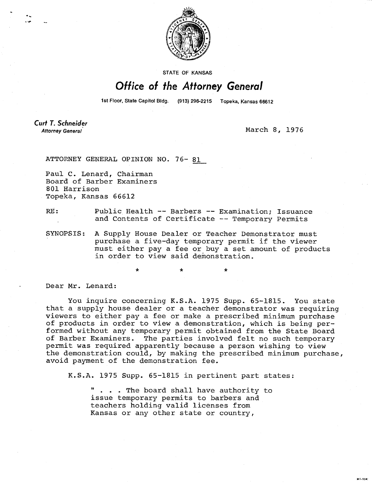

STATE OF KANSAS

## Office of the Attorney General

1st Floor, State Capitol Bldg. (913) 296-2215 Topeka, Kansas 66612

Curt T. Schneider Attorney General

March 8, 1976

**MI-104** 

ATTORNEY GENERAL OPINION NO. 76- 81

Paul C. Lenard, Chairman Board of Barber Examiners 801 Harrison Topeka, Kansas 66612

## RE: Public Health -- Barbers -- Examination; Issuance and Contents of Certificate -- Temporary Permits

SYNOPSIS: A Supply House Dealer or Teacher Demonstrator must purchase a five-day temporary permit if the viewer must either pay a fee or buy a set amount of products in order to view said demonstration.

\* \*

Dear Mr. Lenard:

You inquire concerning K.S.A. 1975 Supp. 65-1815. You state that a supply house dealer or a teacher demonstrator was requiring viewers to either pay a fee or make a prescribed minimum purchase of products in order to view a demonstration, which is being performed without any temporary permit obtained from the State Board of Barber Examiners. The parties involved felt no such temporary permit was required apparently because a person wishing to view the demonstration could, by making the prescribed minimum purchase, avoid payment of the demonstration fee.

K.S.A. 1975 Supp. 65-1815 in pertinent part states:

. . . The board shall have authority to issue temporary permits to barbers and teachers holding valid licenses from Kansas or any other state or country,